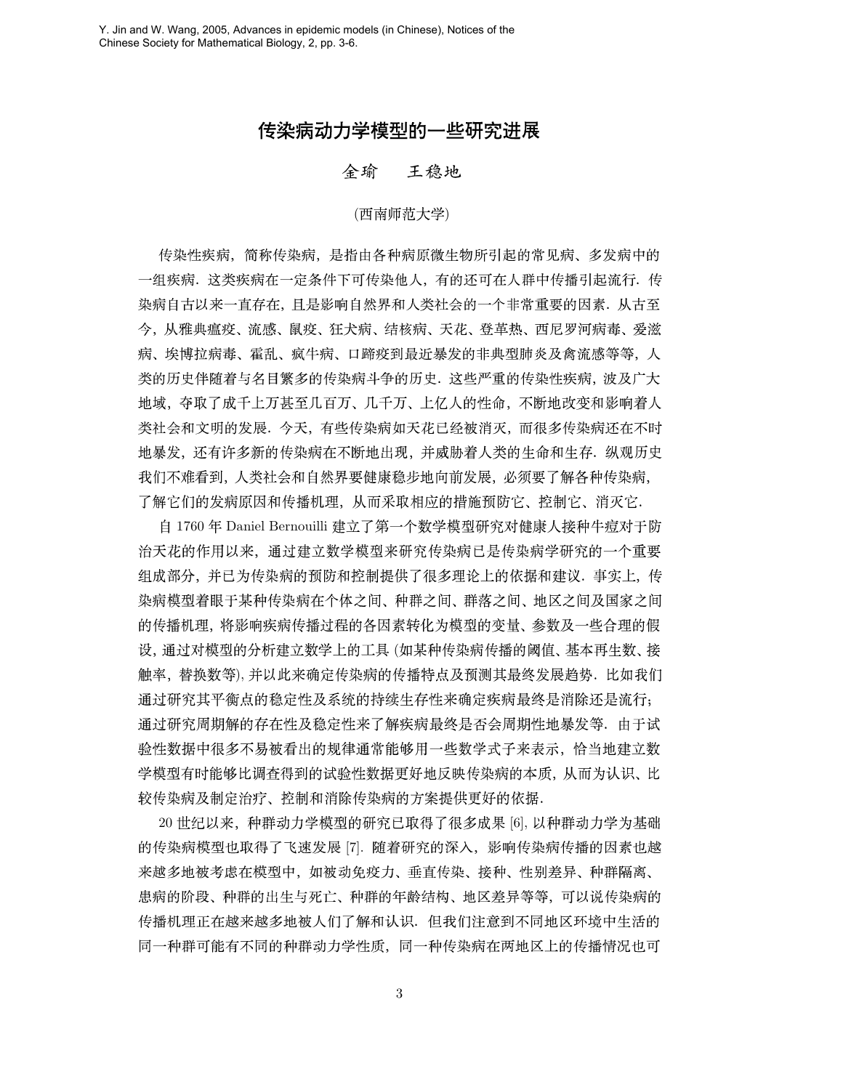## 传染病动力学模型的一些研究进展

## 全瑜 王稳地

## (西南师范大学)

传染性疾病,简称传染病,是指由各种病原微生物所引起的常见病、多发病中的 一组疾病. 这类疾病在一定条件下可传染他人, 有的还可在人群中传播引起流行. 传 染病自古以来一直存在, 且是影响自然界和人类社会的一个非常重要的因素. 从古至 今,从雅典瘟疫、流感、鼠疫、狂犬病、结核病、天花、登革热、西尼罗河病毒、爱滋 病、埃博拉病毒、霍乱、疯牛病、口蹄疫到最近暴发的非典型肺炎及禽流感等等,人 类的历史伴随着与名目繁多的传染病斗争的历史. 这些严重的传染性疾病, 波及广大 地域,夺取了成千上万甚至几百万、几千万、上亿人的性命,不断地改变和影响着人 类社会和文明的发展. 今天, 有些传染病如天花已经被消灭, 而很多传染病还在不时 地暴发, 还有许多新的传染病在不断地出现, 并威胁着人类的生命和生存. 纵观历史 我们不难看到, 人类社会和自然界要健康稳步地向前发展, 必须要了解各种传染病, 了解它们的发病原因和传播机理, 从而采取相应的措施预防它、控制它、消灭它.

自 1760 年 Daniel Bernouilli 建立了第一个数学模型研究对健康人接种牛痘对于防 治天花的作用以来, 通过建立数学模型来研究传染病已是传染病学研究的一个重要 组成部分, 并已为传染病的预防和控制提供了很多理论上的依据和建议. 事实上, 传 染病模型着眼于某种传染病在个体之间、种群之间、群落之间、地区之间及国家之间 的传播机理, 将影响疾病传播过程的各因素转化为模型的变量、参数及一些合理的假 设, 通过对模型的分析建立数学上的工具(如某种传染病传播的阈值、基本再生数、接 触率,替换数等),并以此来确定传染病的传播特点及预测其最终发展趋势. 比如我们 通过研究其平衡点的稳定性及系统的持续生存性来确定疾病最终是消除还是流行; 通过研究周期解的存在性及稳定性来了解疾病最终是否会周期性地暴发等. 由于试 验性数据中很多不易被看出的规律通常能够用一些数学式子来表示,恰当地建立数 学模型有时能够比调查得到的试验性数据更好地反映传染病的本质,从而为认识、比 较传染病及制定治疗、控制和消除传染病的方案提供更好的依据.

20世纪以来, 种群动力学模型的研究已取得了很多成果 [6], 以种群动力学为基础 的传染病模型也取得了飞速发展 [7]. 随着研究的深入, 影响传染病传播的因素也越 来越多地被考虑在模型中,如被动免疫力、垂直传染、接种、性别差异、种群隔离、 患病的阶段、种群的出生与死亡、种群的年龄结构、地区差异等等,可以说传染病的 传播机理正在越来越多地被人们了解和认识. 但我们注意到不同地区环境中生活的 同一种群可能有不同的种群动力学性质,同一种传染病在两地区上的传播情况也可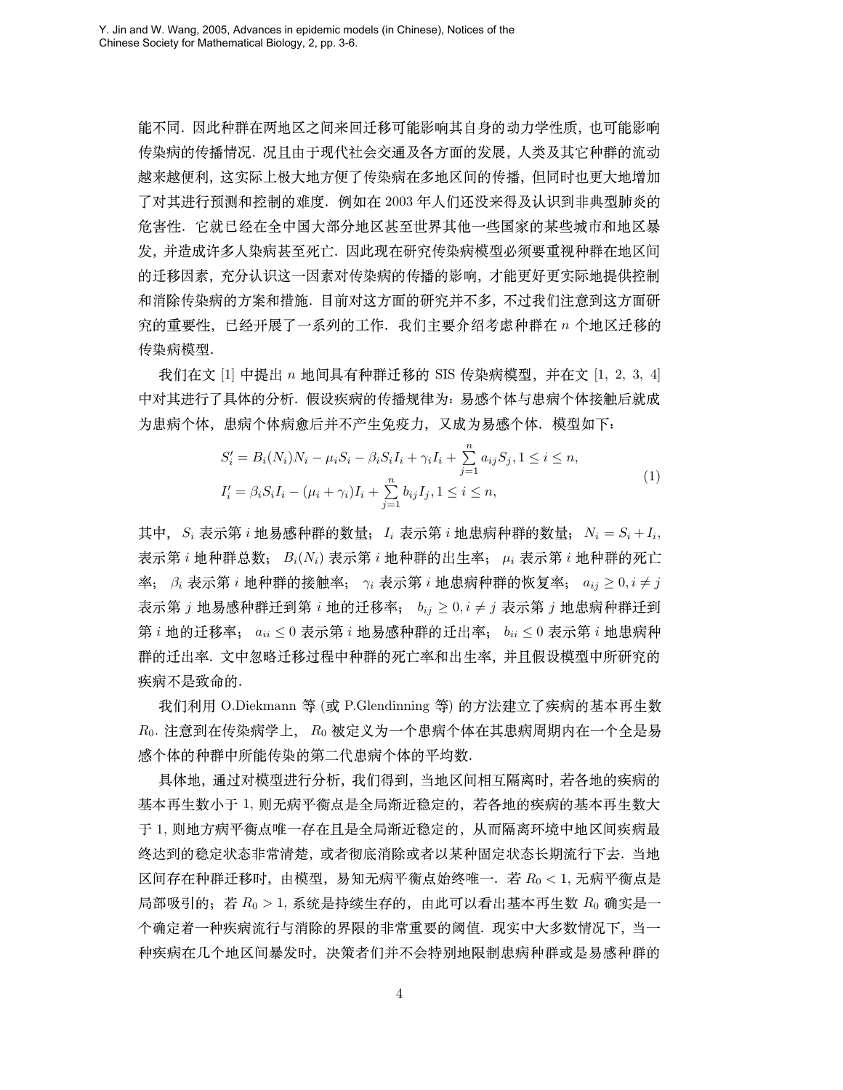能不同. 因此种群在两地区之间来回迁移可能影响其自身的动力学性质, 也可能影响 传染病的传播情况. 况且由于现代社会交通及各方面的发展, 人类及其它种群的流动 越来越便利, 这实际上极大地方便了传染病在多地区间的传播, 但同时也更大地增加 了对其进行预测和控制的难度. 例如在 2003 年人们还没来得及认识到非典型肺炎的 危害性. 它就已经在全中国大部分地区甚至世界其他一些国家的某些城市和地区暴 发,并造成许多人染病甚至死亡. 因此现在研究传染病模型必须要重视种群在地区间 的迁移因素, 充分认识这一因素对传染病的传播的影响, 才能更好更实际地提供控制 和消除传染病的方案和措施. 目前对这方面的研究并不多, 不过我们注意到这方面研 究的重要性, 已经开展了一系列的工作. 我们主要介绍考虑种群在 n 个地区迁移的 传染病模型.

我们在文 [1] 中提出 n 地间具有种群迁移的 SIS 传染病模型,并在文 [1, 2, 3, 4] 中对其进行了具体的分析. 假设疾病的传播规律为: 易感个体与患病个体接触后就成 为患病个体,患病个体病愈后并不产生免疫力,又成为易感个体. 模型如下:

$$
S'_{i} = B_{i}(N_{i})N_{i} - \mu_{i}S_{i} - \beta_{i}S_{i}I_{i} + \gamma_{i}I_{i} + \sum_{j=1}^{n} a_{ij}S_{j}, 1 \leq i \leq n,
$$
  
\n
$$
I'_{i} = \beta_{i}S_{i}I_{i} - (\mu_{i} + \gamma_{i})I_{i} + \sum_{i=1}^{n} b_{ij}I_{j}, 1 \leq i \leq n,
$$
\n(1)

其中,  $S_i$  表示第 *i* 地易感种群的数量; I<sub>i</sub> 表示第 *i* 地患病种群的数量;  $N_i = S_i + I_i$ 表示第 i 地种群总数;  $B_i(N_i)$  表示第 i 地种群的出生率;  $\mu_i$  表示第 i 地种群的死亡 率; β<sub>i</sub> 表示第 i 地种群的接触率; γ<sub>i</sub> 表示第 i 地患病种群的恢复率;  $a_{ij} \geq 0, i \neq j$ 表示第 j 地易感种群迁到第 i 地的迁移率;  $b_{ij} \geq 0, i \neq j$  表示第 j 地患病种群迁到 第 i 地的迁移率;  $a_{ii} \leq 0$  表示第 i 地易感种群的迁出率;  $b_{ii} \leq 0$  表示第 i 地患病种 群的迁出率. 文中忽略迁移过程中种群的死亡率和出生率, 并且假设模型中所研究的 疾病不是致命的.

我们利用 O.Diekmann 等 (或 P.Glendinning 等) 的方法建立了疾病的基本再生数 Ro. 注意到在传染病学上, Ro 被定义为一个患病个体在其患病周期内在一个全是易 感个体的种群中所能传染的第二代患病个体的平均数.

具体地, 通过对模型进行分析, 我们得到, 当地区间相互隔离时, 若各地的疾病的 基本再生数小于 1, 则无病平衡点是全局渐近稳定的, 若各地的疾病的基本再生数大 于 1, 则地方病平衡点唯一存在且是全局渐近稳定的, 从而隔离环境中地区间疾病最 终达到的稳定状态非常清楚,或者彻底消除或者以某种固定状态长期流行下去. 当地 区间存在种群迁移时, 由模型, 易知无病平衡点始终唯一. 若 Ro < 1, 无病平衡点是 局部吸引的; 若 Ro > 1, 系统是持续生存的, 由此可以看出基本再生数 Ro 确实是一 个确定着一种疾病流行与消除的界限的非常重要的阈值. 现实中大多数情况下, 当一 种疾病在几个地区间暴发时,决策者们并不会特别地限制患病种群或是易感种群的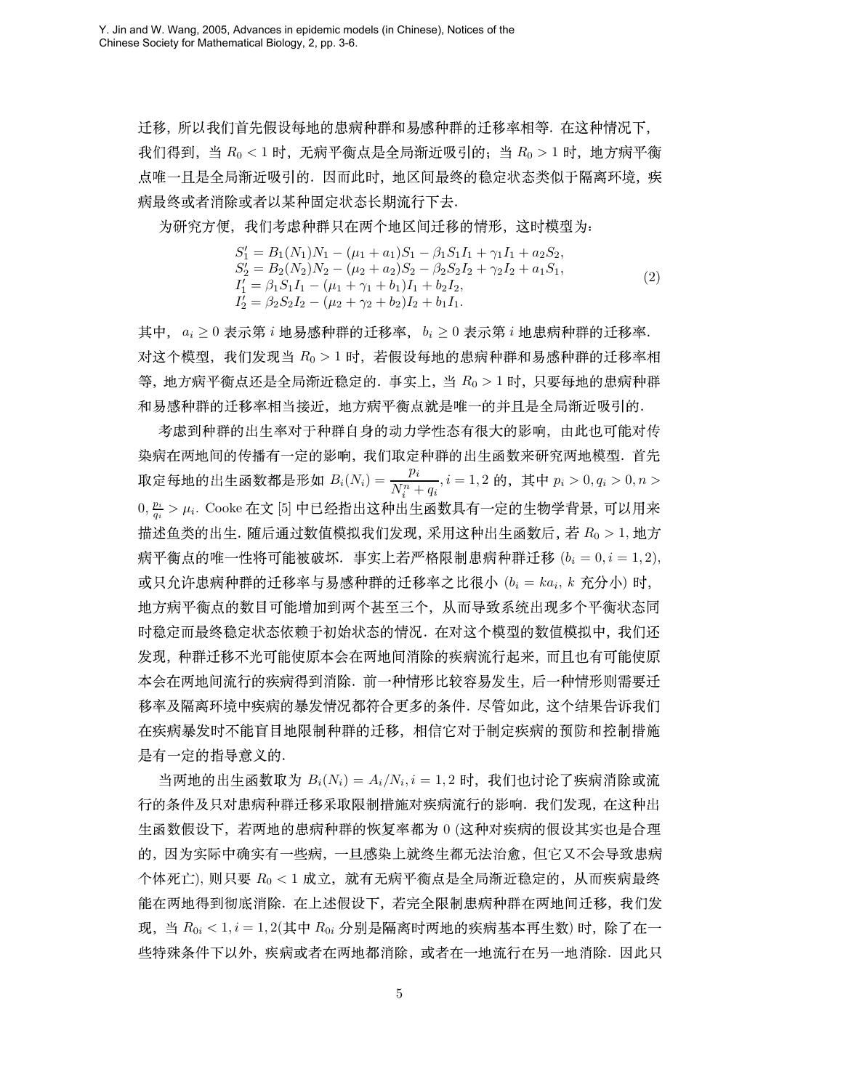迁移, 所以我们首先假设每地的患病种群和易感种群的迁移率相等. 在这种情况下, 我们得到, 当  $R_0 < 1$  时, 无病平衡点是全局渐近吸引的, 当  $R_0 > 1$  时, 地方病平衡 点唯一且是全局渐近吸引的. 因而此时, 地区间最终的稳定状态类似于隔离环境, 疾 病最终或者消除或者以某种固定状态长期流行下去.

为研究方便, 我们考虑种群只在两个地区间迁移的情形, 这时模型为:

$$
S'_1 = B_1(N_1)N_1 - (\mu_1 + a_1)S_1 - \beta_1 S_1 I_1 + \gamma_1 I_1 + a_2 S_2,
$$
  
\n
$$
S'_2 = B_2(N_2)N_2 - (\mu_2 + a_2)S_2 - \beta_2 S_2 I_2 + \gamma_2 I_2 + a_1 S_1,
$$
  
\n
$$
I'_1 = \beta_1 S_1 I_1 - (\mu_1 + \gamma_1 + b_1) I_1 + b_2 I_2,
$$
  
\n
$$
I'_2 = \beta_2 S_2 I_2 - (\mu_2 + \gamma_2 + b_2) I_2 + b_1 I_1.
$$
\n(2)

其中,  $a_i \geq 0$  表示第  $i$  地易感种群的迁移率,  $b_i \geq 0$  表示第  $i$  地患病种群的迁移率. 对这个模型, 我们发现当 Ro > 1 时, 若假设每地的患病种群和易感种群的迁移率相 等, 地方病平衡点还是全局渐近稳定的. 事实上, 当 Ro > 1 时, 只要每地的患病种群 和易感种群的迁移率相当接近, 地方病平衡点就是唯一的并且是全局渐近吸引的.

考虑到种群的出生率对于种群自身的动力学性态有很大的影响,由此也可能对传 染病在两地间的传播有一定的影响, 我们取定种群的出生函数来研究两地模型. 首先 取定每地的出生函数都是形如  $B_i(N_i) = \frac{p_i}{N_i^n + q_i}$ ,  $i = 1, 2$  的, 其中  $p_i > 0, q_i > 0, n > 0$  $0, \frac{p_i}{q_i} > \mu_i$ . Cooke 在文 [5] 中已经指出这种出生函数具有一定的生物学背景, 可以用来 描述鱼类的出生. 随后通过数值模拟我们发现, 采用这种出生函数后, 若 Ro > 1, 地方 病平衡点的唯一性将可能被破坏. 事实上若严格限制患病种群迁移  $(b_i = 0, i = 1, 2)$ , 或只允许患病种群的迁移率与易感种群的迁移率之比很小 $(b_i = ka_i, k, \hat{\pi}$ 分小)时, 地方病平衡点的数目可能增加到两个甚至三个, 从而导致系统出现多个平衡状态同 时稳定而最终稳定状态依赖于初始状态的情况. 在对这个模型的数值模拟中, 我们还 发现, 种群迁移不光可能使原本会在两地间消除的疾病流行起来, 而且也有可能使原 本会在两地间流行的疾病得到消除. 前一种情形比较容易发生, 后一种情形则需要迁 移率及隔离环境中疾病的暴发情况都符合更多的条件. 尽管如此, 这个结果告诉我们 在疾病暴发时不能盲目地限制种群的迁移,相信它对于制定疾病的预防和控制措施 是有一定的指导意义的.

当两地的出生函数取为  $B_i(N_i) = A_i/N_i, i = 1, 2$  时,我们也讨论了疾病消除或流 行的条件及只对患病种群迁移采取限制措施对疾病流行的影响. 我们发现, 在这种出 生函数假设下, 若两地的患病种群的恢复率都为 0 (这种对疾病的假设其实也是合理 的,因为实际中确实有一些病,一旦感染上就终生都无法治愈,但它又不会导致患病 个体死亡), 则只要 Ro < 1 成立, 就有无病平衡点是全局渐近稳定的, 从而疾病最终 能在两地得到彻底消除. 在上述假设下, 若完全限制患病种群在两地间迁移, 我们发 现, 当  $R_{0i}$  < 1,  $i = 1, 2$ (其中  $R_{0i}$  分别是隔离时两地的疾病基本再生数) 时, 除了在一 些特殊条件下以外, 疾病或者在两地都消除, 或者在一地流行在另一地消除. 因此只